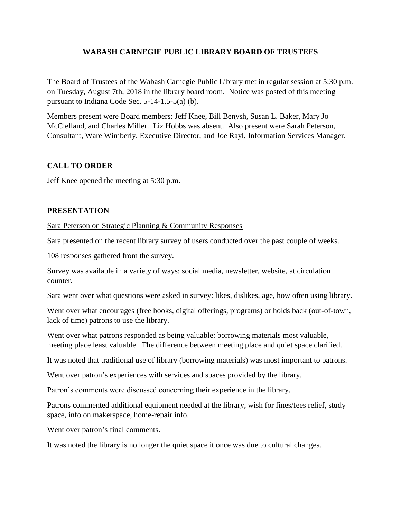## **WABASH CARNEGIE PUBLIC LIBRARY BOARD OF TRUSTEES**

The Board of Trustees of the Wabash Carnegie Public Library met in regular session at 5:30 p.m. on Tuesday, August 7th, 2018 in the library board room. Notice was posted of this meeting pursuant to Indiana Code Sec. 5-14-1.5-5(a) (b).

Members present were Board members: Jeff Knee, Bill Benysh, Susan L. Baker, Mary Jo McClelland, and Charles Miller. Liz Hobbs was absent. Also present were Sarah Peterson, Consultant, Ware Wimberly, Executive Director, and Joe Rayl, Information Services Manager.

## **CALL TO ORDER**

Jeff Knee opened the meeting at 5:30 p.m.

## **PRESENTATION**

Sara Peterson on Strategic Planning & Community Responses

Sara presented on the recent library survey of users conducted over the past couple of weeks.

108 responses gathered from the survey.

Survey was available in a variety of ways: social media, newsletter, website, at circulation counter.

Sara went over what questions were asked in survey: likes, dislikes, age, how often using library.

Went over what encourages (free books, digital offerings, programs) or holds back (out-of-town, lack of time) patrons to use the library.

Went over what patrons responded as being valuable: borrowing materials most valuable, meeting place least valuable. The difference between meeting place and quiet space clarified.

It was noted that traditional use of library (borrowing materials) was most important to patrons.

Went over patron's experiences with services and spaces provided by the library.

Patron's comments were discussed concerning their experience in the library.

Patrons commented additional equipment needed at the library, wish for fines/fees relief, study space, info on makerspace, home-repair info.

Went over patron's final comments.

It was noted the library is no longer the quiet space it once was due to cultural changes.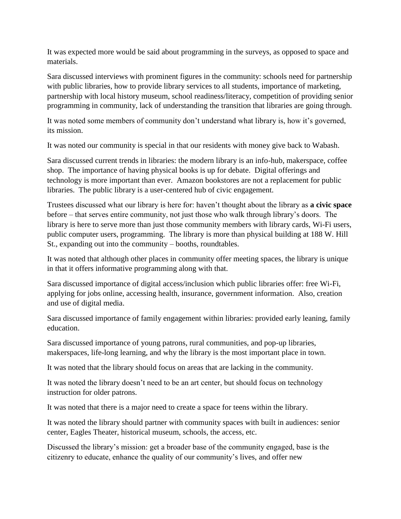It was expected more would be said about programming in the surveys, as opposed to space and materials.

Sara discussed interviews with prominent figures in the community: schools need for partnership with public libraries, how to provide library services to all students, importance of marketing, partnership with local history museum, school readiness/literacy, competition of providing senior programming in community, lack of understanding the transition that libraries are going through.

It was noted some members of community don't understand what library is, how it's governed, its mission.

It was noted our community is special in that our residents with money give back to Wabash.

Sara discussed current trends in libraries: the modern library is an info-hub, makerspace, coffee shop. The importance of having physical books is up for debate. Digital offerings and technology is more important than ever. Amazon bookstores are not a replacement for public libraries. The public library is a user-centered hub of civic engagement.

Trustees discussed what our library is here for: haven't thought about the library as **a civic space** before – that serves entire community, not just those who walk through library's doors. The library is here to serve more than just those community members with library cards, Wi-Fi users, public computer users, programming. The library is more than physical building at 188 W. Hill St., expanding out into the community – booths, roundtables.

It was noted that although other places in community offer meeting spaces, the library is unique in that it offers informative programming along with that.

Sara discussed importance of digital access/inclusion which public libraries offer: free Wi-Fi, applying for jobs online, accessing health, insurance, government information. Also, creation and use of digital media.

Sara discussed importance of family engagement within libraries: provided early leaning, family education.

Sara discussed importance of young patrons, rural communities, and pop-up libraries, makerspaces, life-long learning, and why the library is the most important place in town.

It was noted that the library should focus on areas that are lacking in the community.

It was noted the library doesn't need to be an art center, but should focus on technology instruction for older patrons.

It was noted that there is a major need to create a space for teens within the library.

It was noted the library should partner with community spaces with built in audiences: senior center, Eagles Theater, historical museum, schools, the access, etc.

Discussed the library's mission: get a broader base of the community engaged, base is the citizenry to educate, enhance the quality of our community's lives, and offer new